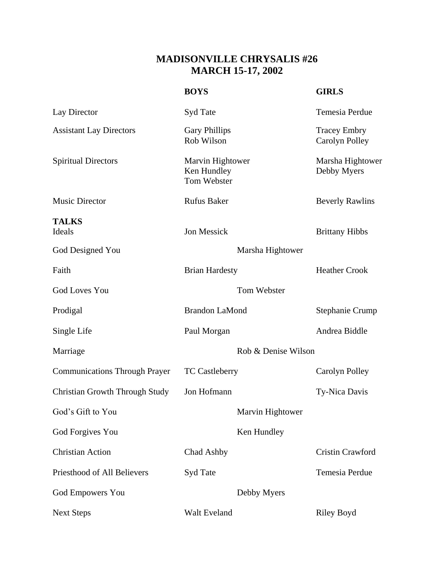## **MADISONVILLE CHRYSALIS #26 MARCH 15-17, 2002**

|                                       | <b>BOYS</b>                                    |                  | <b>GIRLS</b>                          |
|---------------------------------------|------------------------------------------------|------------------|---------------------------------------|
| Lay Director                          | Syd Tate                                       |                  | <b>Temesia Perdue</b>                 |
| <b>Assistant Lay Directors</b>        | <b>Gary Phillips</b><br>Rob Wilson             |                  | <b>Tracey Embry</b><br>Carolyn Polley |
| <b>Spiritual Directors</b>            | Marvin Hightower<br>Ken Hundley<br>Tom Webster |                  | Marsha Hightower<br>Debby Myers       |
| <b>Music Director</b>                 | <b>Rufus Baker</b>                             |                  | <b>Beverly Rawlins</b>                |
| <b>TALKS</b><br>Ideals                | Jon Messick                                    |                  | <b>Brittany Hibbs</b>                 |
| God Designed You                      | Marsha Hightower                               |                  |                                       |
| Faith                                 | <b>Brian Hardesty</b>                          |                  | <b>Heather Crook</b>                  |
| <b>God Loves You</b>                  |                                                | Tom Webster      |                                       |
| Prodigal                              | <b>Brandon LaMond</b>                          |                  | <b>Stephanie Crump</b>                |
| Single Life                           | Paul Morgan                                    |                  | Andrea Biddle                         |
| Marriage                              | Rob & Denise Wilson                            |                  |                                       |
| <b>Communications Through Prayer</b>  | <b>TC Castleberry</b>                          |                  | Carolyn Polley                        |
| <b>Christian Growth Through Study</b> | Jon Hofmann                                    |                  | Ty-Nica Davis                         |
| God's Gift to You                     |                                                | Marvin Hightower |                                       |
| God Forgives You                      |                                                | Ken Hundley      |                                       |
| <b>Christian Action</b>               | Chad Ashby                                     |                  | <b>Cristin Crawford</b>               |
| Priesthood of All Believers           | Syd Tate                                       |                  | Temesia Perdue                        |
| <b>God Empowers You</b>               |                                                | Debby Myers      |                                       |
| <b>Next Steps</b>                     | Walt Eveland                                   |                  | <b>Riley Boyd</b>                     |